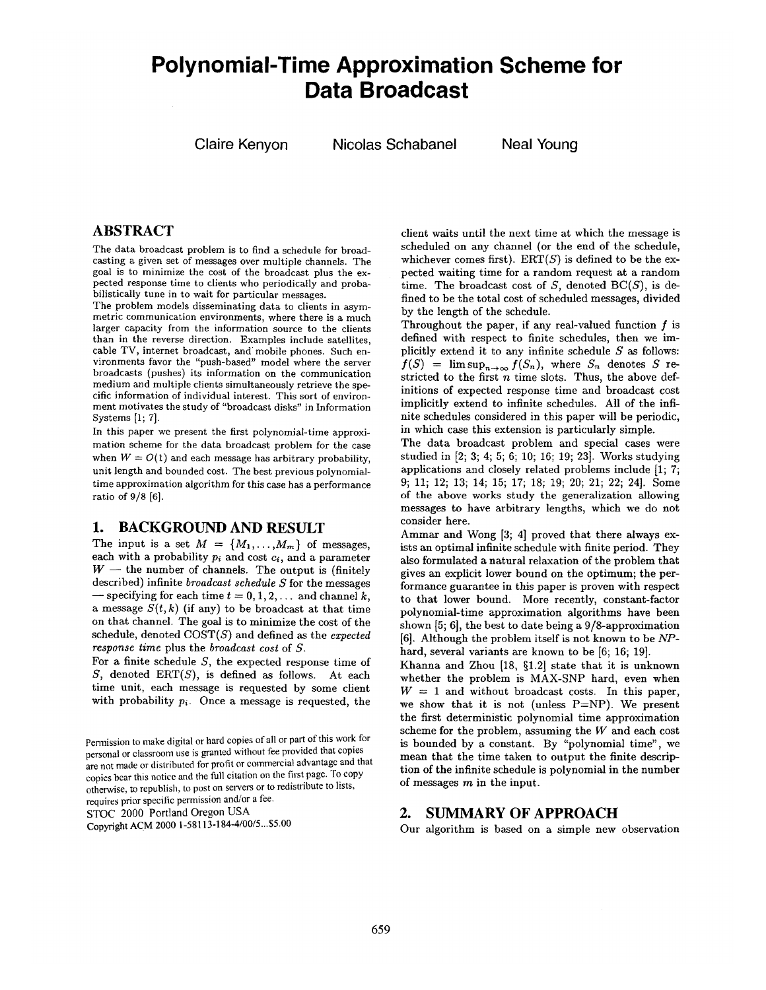# **Polynomial-Time Approximation Scheme for Data Broadcast**

**Claire Kenyon Nicolas Schabanel Neal Young** 

## **ABSTRACT**

The data broadcast problem is to find a schedule for broadcasting a given set of messages over multiple channels. The goal is to minimize the cost of the broadcast plus the expected response time to clients who periodically and probabilistically tune in to wait for particular **messages.** 

The problem models disseminating data to clients in asymmetric communication environments, where there is a much larger capacity from the information source to the clients than in the reverse direction. Examples include satellites, cable TV, internet broadcast, and mobile phones. Such environments favor the "push-based" model where the server broadcasts (pushes) its information on the communication medium and multiple clients simultaneously retrieve the specific information of individual interest. This sort of environment motivates the study of "broadcast disks" in Information Systems [1; 7].

In this paper we present the first polynomial-time approximation scheme for the data broadcast problem for the case when  $W = O(1)$  and each message has arbitrary probability, unit length and bounded cost. The best previous polynomialtime approximation algorithm for this case has a performance ratio of 9/8 [6].

## **1. BACKGROUND AND RESULT**

The input is a set  $M = \{M_1, \ldots, M_m\}$  of messages, each with a probability  $p_i$  and cost  $c_i$ , and a parameter  $W$  -- the number of channels. The output is (finitely described) infinite *broadcast schedule S* for the messages  $-$  specifying for each time  $t = 0, 1, 2, \ldots$  and channel k, a message  $S(t, k)$  (if any) to be broadcast at that time on that channel. The goal is to minimize the cost of the schedule, denoted COST(S) and defined as the *expected response time* plus the *broadcast cost* of S.

For a finite schedule S, the expected response time of S, denoted ERT(S), is defined as follows. At **each**  time unit, each message is requested by some client with probability  $p_i$ . Once a message is requested, the

Pemaission to make digital or hard copies of all or part of this work for personal or classroom use is granted without fee provided that copies are not made or distributed for profit or commercial advantage and that copies bear this notice and the full citation on the first page. To copy otherwise, to republish, to post on servers or to redistribute to lists, requires prior specific permission and/or a fee.

STOC 2000 Portland Oregon USA

Copyright ACM 2000 1-58113-184-4/00/5...\$5.00

client waits until the next time at which the message is scheduled on any channel (or the end of the schedule, whichever comes first).  $ERT(S)$  is defined to be the expected waiting time for a random request at a random time. The broadcast cost of  $S$ , denoted  $BC(S)$ , is defined to be the total cost of scheduled messages, divided by the length of the schedule.

Throughout the paper, if any real-valued function  $f$  is defined with respect to finite schedules, then we implicitly extend it to any infinite schedule  $S$  as follows:  $f(S) = \limsup_{n \to \infty} f(S_n)$ , where  $S_n$  denotes S restricted to the first  $n$  time slots. Thus, the above definitions of expected response time and broadcast cost implicitly extend to infinite schedules. All of the infinite schedules considered in this paper will be periodic, in which case this extension is particularly simple.

The data broadcast problem and special cases were studied in [2; 3; 4; 5; 6; 10; 16; 19; 23]. Works studying applications and closely related problems include [1; 7; 9; 11; 12; 13; 14; 15; 17; 18; 19; 20; 21; 22; 24]. Some of the above works study the generalization allowing **messages** to have arbitrary lengths, which we do not consider here.

Ammar and Wong [3; 4] proved that there always exists an optimal infinite schedule with finite period. They also formulated a natural relaxation of the problem that gives an explicit lower bound on the optimum; the performance guarantee in this paper is proven with **respect**  to that lower bound. More recently, constant-factor polynomial-time approximation algorithms have been shown [5; 6], the best to date being a 9/8-approximation [6]. Although the problem itself is not known to be *NP*hard, several variants are known to be [6; 16; 19].

Khanna and Zhou  $[18, §1.2]$  state that it is unknown whether the problem is MAX-SNP hard, even when  $W = 1$  and without broadcast costs. In this paper, we show that it is not (unless  $P=NP$ ). We present the first deterministic polynomial time approximation scheme for the problem, assuming the W and each cost is bounded by a constant. By "polynomial time", we mean that the time taken to output the finite description of the infinite schedule is polynomial in the number of messages  $m$  in the input.

## **2. SUMMARY OF APPROACH**

Our algorithm is based on a simple new observation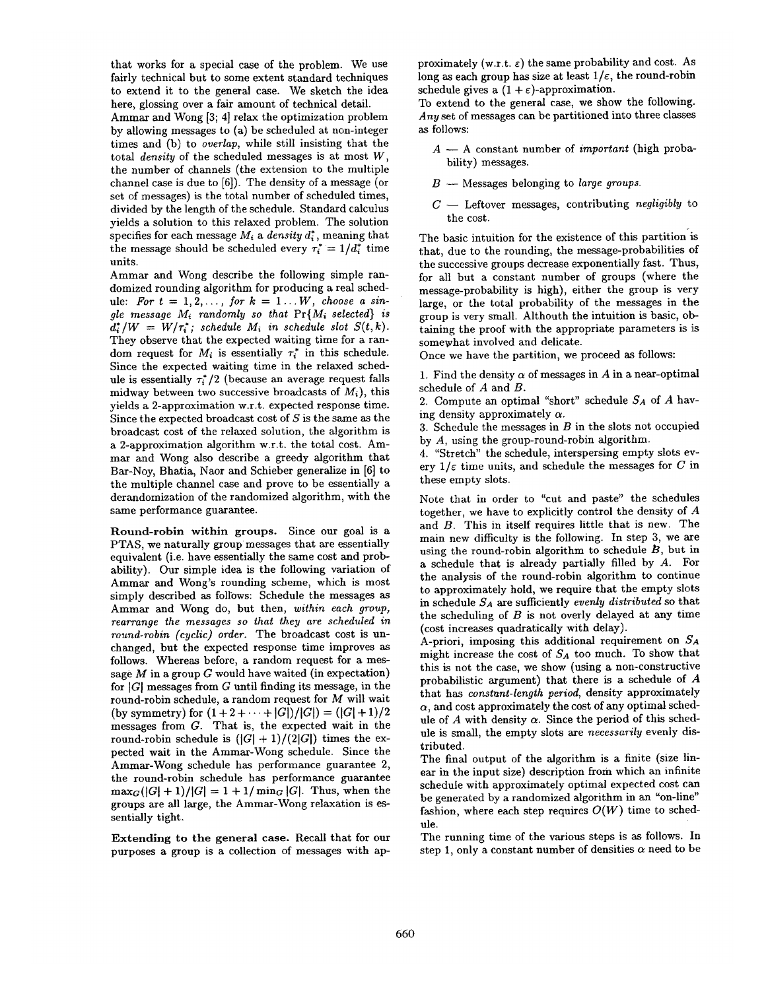that works for a special case of the problem. We use fairly technical but to some extent standard techniques to extend it to the general case. We sketch the idea here, glossing over a fair amount of technical detail.

Ammar and Wong [3; 4] relax the optimization problem by allowing messages to (a) be scheduled at non-integer times and (b) to *overlap,* while still insisting that the total *density* of the scheduled messages is at most W, the number of channels (the extension to the multiple channel case is due to [6]). The density of a message (or set of messages) is the total number of scheduled times, divided by the length of the schedule. Standard calculus yields a solution to this relaxed problem. The solution specifies for each message  $M_i$  a *density d*<sup>\*</sup>, meaning that the message should be scheduled every  $\tau_i^* = 1/d_i^*$  time units.

Ammar and Wong describe the following simple randomized rounding algorithm for producing a real schedule: For  $t = 1, 2, \ldots$ , for  $k = 1 \ldots W$ , choose a sin*gle message*  $M_i$  *randomly so that*  $Pr{M_i$  *selected*} *is*  $d_i^* / W = W / \tau_i^*$ ; schedule  $M_i$  in schedule slot  $S(t, k)$ . They observe that the expected waiting time for a random request for  $M_i$  is essentially  $\tau_i^*$  in this schedule. Since the expected waiting time in the relaxed schedule is essentially  $\tau_i^*/2$  (because an average request falls midway between two successive broadcasts of *Mi),* this yields a 2-approximation w.r.t, expected response time. Since the expected broadcast cost of  $S$  is the same as the broadcast cost of the relaxed solution, the algorithm is a 2-approximation algorithm w.r.t, the total cost. Ammar and Wong also describe a greedy algorithm that Bar-Noy, Bhatia, Naor and Schieber generalize in [6] to the multiple channel case and prove to be essentially a derandomization of the randomized algorithm, with the same performance guarantee.

Round-robin within groups. Since our goal is a PTAS, we naturally group messages that are essentially equivalent (i.e. have essentially the same cost and probability). Our simple idea is the following variation of Ammar and Wong's rounding scheme, which is most simply described as follows: Schedule the messages as Ammar and Wong do, but then, *within each group*, *rearrange the messages so that they are scheduled in round-robin (cyclic) order.* The broadcast cost is unchanged, but the expected response time improves as follows. Whereas before, a random request for a message  $M$  in a group  $G$  would have waited (in expectation) for  $|G|$  messages from  $G$  until finding its message, in the round-robin schedule, a random request for M will wait (by symmetry) for  $(1 + 2 + \cdots + |G|)/|G|$  =  $(|G| + 1)/2$ messages from G. That is, the expected wait in the round-robin schedule is  $(|G| + 1)/(2|G|)$  times the expected wait in the Ammar-Wong schedule. Since the Ammar-Wong schedule has performance guarantee 2, the round-robin schedule has performance guarantee  $\max_G(|G| + 1)/|G| = 1 + 1/\min_G |G|$ . Thus, when the groups are all large, the Ammar-Wong relaxation is essentially tight.

Extending to the general case. Recall that for our purposes a group is a collection of messages with approximately (w.r.t.  $\varepsilon$ ) the same probability and cost. As long as each group has size at least  $1/\varepsilon$ , the round-robin schedule gives a  $(1 + \varepsilon)$ -approximation.

To extend to the general case, we show the following. *Any* set of messages can be partitioned into three classes as follows:

- A -- A constant number of *important* (high probability) messages.
- $B$  -- Messages belonging to *large groups*.
- $C -$  Leftover messages, contributing *negligibly* to the cost.

The basic intuition for the existence of this partition is that, due to the rounding, the message-probabilities of the successive groups decrease exponentially fast. Thus, for all but a constant number of groups (where the message-probability is high), either the group is very large, or the total probability of the messages in the group is very small. Althouth the intuition is basic, obtaining the proof with the appropriate parameters is is somewhat involved and delicate.

Once we have the partition, we proceed as follows:

1. Find the density  $\alpha$  of messages in A in a near-optimal schedule of A and B.

2. Compute an optimal "short" schedule *SA* of A having density approximately  $\alpha$ .

3. Schedule the messages in  $B$  in the slots not occupied by A, using the group-round-robin algorithm.

4. "Stretch" the schedule, interspersing empty slots every  $1/\varepsilon$  time units, and schedule the messages for C in these empty slots.

Note that in order to "cut and paste" the schedules together, we have to explicitly control the density of A and B. This in itself requires little that is new. The main new difficulty is the following. In step 3, we are using the round-robin algorithm to schedule B, but in a schedule that is already partially filled by A. For the analysis of the round-robin algorithm to continue to approximately hold, we require that the empty slots in schedule *SA are* sufficiently *evenly distributed* so that the scheduling of  $B$  is not overly delayed at any time (cost increases quadratically with delay).

A-priori, imposing this additional requirement on *SA*  might increase the cost of  $S_A$  too much. To show that this is not the case, we show (using a non-constructive probabilistic argument) that there is a schedule of A that has *constant-length period,* density approximately  $\alpha$ , and cost approximately the cost of any optimal schedule of  $A$  with density  $\alpha$ . Since the period of this schedule is small, the empty slots are *necessarily* evenly distributed.

The final output of the algorithm is a finite (size linear in the input size) description from which an infinite schedule with approximately optimal expected cost can be generated by a randomized algorithm in an "on-line" fashion, where each step requires  $O(W)$  time to schedule.

The running time of the various steps is as follows. In step 1, only a constant number of densities  $\alpha$  need to be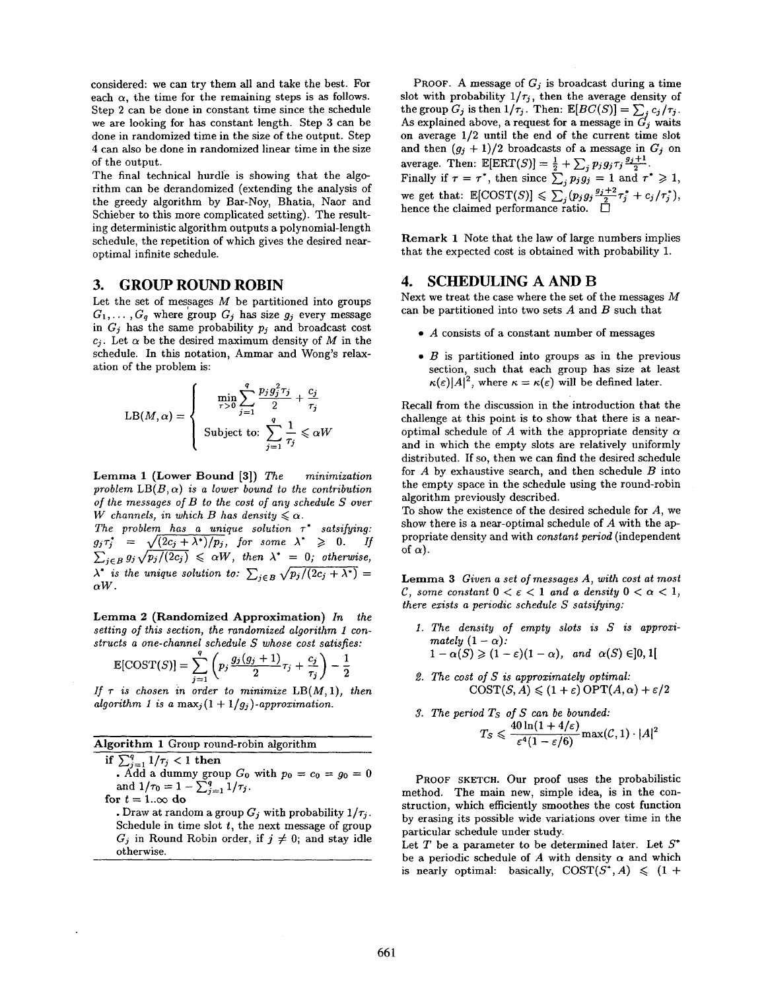considered: we can try them all and take the best. For each  $\alpha$ , the time for the remaining steps is as follows. Step 2 can be done in constant time since the schedule we are looking for has constant length. Step 3 can be done in randomized time in the size of the output. Step 4 can also be done in randomized linear time in the size of the output.

The final technical hurdle is showing that the algorithm can be derandomized (extending the analysis of the greedy algorithm by Bar-Noy, Bhatia, Naor and Schieber to this more complicated setting). The resulting deterministic algorithm outputs a polynomial-length schedule, the repetition of which gives the desired nearoptimal infinite schedule.

### **3. GROUP ROUND ROBIN**

Let the set of messages  $M$  be partitioned into groups  $G_1, \ldots, G_q$  where group  $G_j$  has size  $g_j$  every message in  $G_j$  has the same probability  $p_j$  and broadcast cost  $c_j$ . Let  $\alpha$  be the desired maximum density of M in the schedule. In this notation, Ammar and Wong's relaxation of the problem is:

$$
LB(M, \alpha) = \begin{cases} \min_{\tau > 0} \sum_{j=1}^{q} \frac{p_j g_j^2 \tau_j}{2} + \frac{c_j}{\tau_j} \\ \text{Subject to: } \sum_{j=1}^{q} \frac{1}{\tau_j} \leq \alpha W \end{cases}
$$

Lemma 1 (Lower Bound [3]) *The minimization*  problem  $LB(B, \alpha)$  *is a lower bound to the contribution of the messages of B to the cost of any schedule S over W* channels, in which *B* has density  $\leq \alpha$ .

*The problem has a unique solution v\* satsifying:*   $g_j\tau_j^* = \sqrt{(2c_j + \lambda^*)/p_j}$ , for some  $\lambda^* \geqslant 0$ . If  $\sum_{i\in B}g_i\sqrt{p_j/(2c_j)} \leq \alpha W$ , then  $\lambda^* = 0$ ; otherwise,  $\lambda^*$  *is the unique solution to:*  $\sum_{i \in B} \sqrt{p_i/(2c_i + \lambda^*)} =$  $\alpha W$ .

Lemma 2 (Randomized Approximation) *In the setting of this section, the randomized algorithm 1 constructs a one-channel schedule S whose cost satisfies:* 

$$
\mathbb{E}[\text{COST}(S)] = \sum_{j=1}^{q} \left( p_j \frac{g_j(g_j+1)}{2} \tau_j + \frac{c_j}{\tau_j} \right) - \frac{1}{2}
$$

*If*  $\tau$  is chosen in order to minimize  $LB(M, 1)$ , then *algorithm 1 is a max<sub>j</sub>* $(1 + 1/g_j)$ -*approximation.* 

| Algorithm 1 Group round-robin algorithm |  |  |  |
|-----------------------------------------|--|--|--|

if  $\sum_{i=1}^{q} 1/\tau_i < 1$  then

• Add a dummy group  $G_0$  with  $p_0 = c_0 = g_0 = 0$ and  $1/\tau_0 = 1 - \sum_{i=1}^q 1/\tau_i$ .

for  $t = 1$ ... $\infty$  do

. Draw at random a group  $G_j$  with probability  $1/\tau_j$ . Schedule in time slot  $t$ , the next message of group  $G_j$  in Round Robin order, if  $j \neq 0$ ; and stay idle otherwise.

PROOF. A message of *Gj* is broadcast during a time slot with probability  $1/\tau_j$ , then the average density of the group  $G_j$  is then  $1/\tau_j$ . Then:  $\mathbb{E}[BC(S)] = \sum_i c_j/\tau_j$ . As explained above, a request for a message in  $G_j$  waits on average 1/2 until the end of the current time slot and then  $(g_i + 1)/2$  broadcasts of a message in  $G_i$  on average. Then:  $\mathbb{E}[\text{ERT}(S)] = \frac{1}{2} + \sum_i p_j g_j \tau_j \frac{g_j - \tau_i}{2}$ . Finally if  $\tau = \tau^*$ , then since  $\sum_i p_i g_i = 1$  and  $\tau^* \geq 1$ , we get that:  $\mathbb{E}[\text{COST}(S)] \leq \sum_i (p_j g_j \frac{g_j \cdot \mu}{2} \tau_i^* + c_j/\tau_j^* )$ hence the claimed performance ratio.  $\Box$ 

Remark 1 Note that the law of large numbers implies that the expected cost is obtained with probability 1.

## **4. SCHEDULING A AND B**

Next we treat the case where the set of the messages M can be partitioned into two sets  $A$  and  $B$  such that

- A consists of a constant number of messages
- $\bullet$  B is partitioned into groups as in the previous section, such that each group has size at least  $\kappa(\varepsilon)|A|^2$ , where  $\kappa = \kappa(\varepsilon)$  will be defined later.

Recall from the discussion in the introduction that the challenge at this point is to show that there is a nearoptimal schedule of A with the appropriate density  $\alpha$ and in which the empty slots are relatively uniformly distributed. If so, then we can find the desired schedule for  $A$  by exhaustive search, and then schedule  $B$  into the empty space in the schedule using the round-robin algorithm previously described.

To show the existence of the desired schedule for  $A$ , we show there is a near-optimal schedule of A with the appropriate density and with *constant period* (independent of  $\alpha$ ).

Lemma 3 *Given a set of messages A, with cost at most C*, some constant  $0 < \varepsilon < 1$  and a density  $0 < \alpha < 1$ , *there exists a periodic schedule S satsifying:* 

- *I. The density of empty slots is S is approximately*  $(1 - \alpha)$ *:*  $1-\alpha(S) \geq (1-\varepsilon)(1-\alpha)$ , *and*  $\alpha(S) \in ]0,1[$
- *2. The cost of S is approximately optimal:*   $COST(S, A) \leq (1 + \varepsilon) \text{OPT}(A, \alpha) + \varepsilon/2$
- *3. The period Ts of S can be bounded:*   $T_S \leqslant \frac{40 \ln(1+4/\varepsilon)}{\varepsilon^4 (1-\varepsilon/6)} \text{max}(\mathcal{C}, 1) \cdot |A|^2$

PROOF SKETCH. Our proof uses the probabilistic method. The main new, simple idea, is in the construction, which efficiently smoothes the cost function by erasing its possible wide variations over time in the particular schedule under study.

Let  $T$  be a parameter to be determined later. Let  $S^*$ be a periodic schedule of A with density  $\alpha$  and which is nearly optimal: basically,  $COST(S^*, A) \leq (1 +$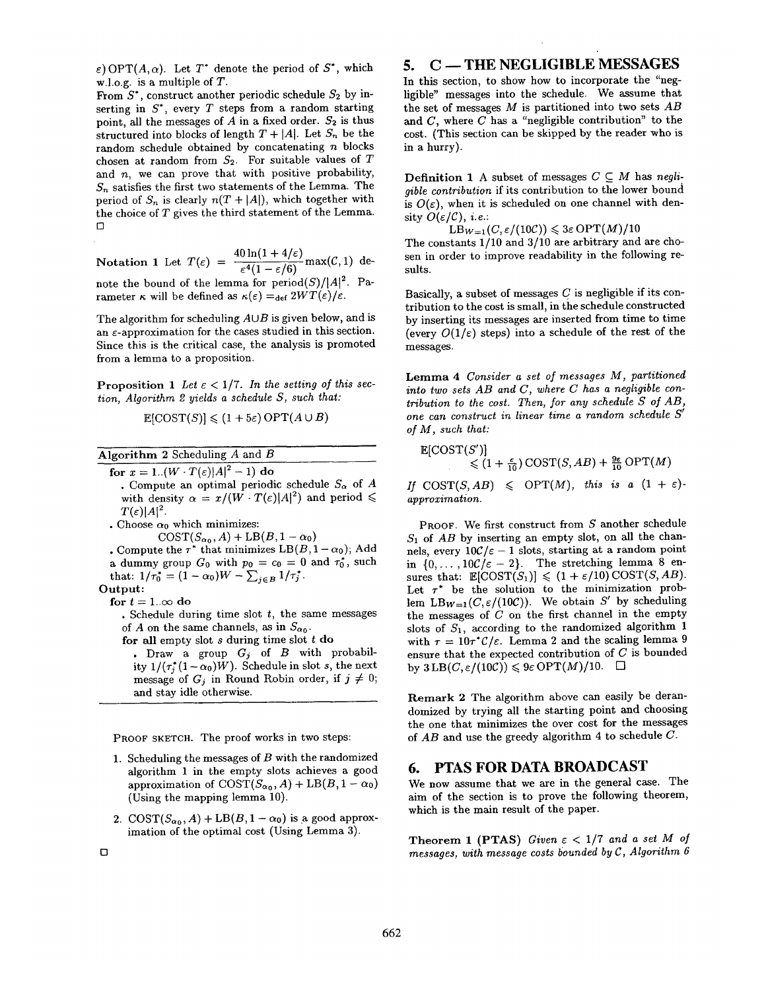$\varepsilon$ ) OPT(A, $\alpha$ ). Let T<sup>\*</sup> denote the period of S<sup>\*</sup>, which w.l.o.g, is a multiple of T.

From  $S^*$ , construct another periodic schedule  $S_2$  by inserting in  $S^*$ , every  $T$  steps from a random starting point, all the messages of  $A$  in a fixed order.  $S_2$  is thus structured into blocks of length  $T + |A|$ . Let  $S_n$  be the random schedule obtained by concatenating  $n$  blocks chosen at random from  $S_2$ . For suitable values of T and  $n$ , we can prove that with positive probability,  $S_n$  satisfies the first two statements of the Lemma. The period of  $S_n$  is clearly  $n(T + |A|)$ , which together with the choice of T gives the third statement of the Lemma.  $\Gamma$ 

Notation 1 Let  $T(\varepsilon) = \frac{40 \ln(1 + 4/\varepsilon)}{\varepsilon^4 (1 - \varepsilon/6)} \max(C, 1)$  denote the bound of the lemma for  $period(S)/|A|^2$ . Parameter  $\kappa$  will be defined as  $\kappa(\varepsilon) = \det 2WT(\varepsilon)/\varepsilon$ .

The algorithm for scheduling  $A \cup B$  is given below, and is an  $\varepsilon$ -approximation for the cases studied in this section. Since this is the critical case, the analysis is promoted from a lemma to a proposition.

**Proposition 1** Let  $\epsilon < 1/7$ . In the setting of this sec*tion, Algorithm 2 yields a schedule S, such that:* 

$$
\mathbb{E}[\text{COST}(S)] \le (1+5\varepsilon)\,\text{OPT}(A\cup B)
$$

Algorithm 2 Scheduling A and B

for  $x = 1$ ..(W  $\cdot T(\varepsilon)|A|^2 - 1$ ) do • Compute an optimal periodic schedule  $S_{\alpha}$  of A with density  $\alpha = x/(W \cdot T(\varepsilon)|A|^2)$  and period  $\leq$  $T(\varepsilon)|A|^2$ .

• Choose  $\alpha_0$  which minimizes:

 $\text{COST}(S_{\alpha_0}, A) + \text{LB}(B, 1 - \alpha_0)$ 

• Compute the  $\tau^*$  that minimizes LB( $B$ ,  $1 - \alpha_0$ ); Add a dummy group  $G_0$  with  $p_0 = c_0 = 0$  and  $\tau_0^*$ , such that:  $1/\tau_0^* = (1 - \alpha_0)W - \sum_{j \in B} 1/\tau_j^*.$ 

Output:

for  $t = 1..\infty$  do

• Schedule during time slot  $t$ , the same messages of A on the same channels, as in  $S_{\alpha_0}$ .

for all empty slot  $s$  during time slot  $t$  do

Draw a group  $G_j$  of  $B$  with probability  $1/(\tau_i^*(1 - \alpha_0)W)$ . Schedule in slot s, the next message of  $G_i$  in Round Robin order, if  $j \neq 0$ ; and stay idle otherwise.

PROOF SKETCH. The proof works in two steps:

- 1. Scheduling the messages of  $B$  with the randomized algorithm 1 in the empty slots achieves a good approximation of  $\text{COST}(S_{\alpha_0}, A) + \text{LB}(B, 1 - \alpha_0)$ (Using the mapping lemma 10).
- 2. COST $(S_{\alpha_0}, A)$  + LB $(B, 1 \alpha_0)$  is a good approximation of the optimal cost (Using Lemma 3).

## 5. C -- THE NEGLIGIBLE MESSAGES

In this section, to show how to incorporate the "negligible" messages into the schedule. We assume that the set of messages M is partitioned into two sets *AB*  and  $C$ , where  $C$  has a "negligible contribution" to the cost. (This section can be skipped by the reader who is in a hurry).

**Definition 1** A subset of messages  $C \subseteq M$  has *negligible contribution* if its contribution to the lower bound is  $O(\varepsilon)$ , when it is scheduled on one channel with density  $O(\varepsilon/\mathcal{C})$ , *i.e.*:

 $LB_{W=1}(C, \varepsilon/(10C)) \leq 3\varepsilon \text{OPT}(M)/10$ 

The constants 1/10 and 3/10 are arbitrary and are chosen in order to improve readability in the following results.

Basically, a subset of messages  $C$  is negligible if its contribution to the cost is small, in the schedule constructed by inserting its messages are inserted from time to time (every  $O(1/\varepsilon)$  steps) into a schedule of the rest of the messages.

Lemma 4 *Consider a set of messages M, partitioned into two sets AB and C, where C has a negligible contribution to the cost. Then, for any schedule S of AB,*  one can construct in linear time a random schedule S' *of M, such that:* 

 $\mathbb{E}[\text{COST}(S')]$  $\leq (1 + \frac{\epsilon}{10}) \text{COST}(S, AB) + \frac{9\epsilon}{10} \text{OPT}(M)$ 

*If*  $COST(S, AB) \leq OPT(M)$ , *this is a*  $(1 + \varepsilon)$ *approximation.* 

PROOF. We first construct from S another schedule  $S_1$  of  $AB$  by inserting an empty slot, on all the channels, every  $10\mathcal{C}/\varepsilon - 1$  slots, starting at a random point in  $\{0,\ldots,10\mathcal{C}/\varepsilon-2\}$ . The stretching lemma 8 ensures that:  $\mathbb{E}[\text{COST}(S_1)] \leq (1 + \varepsilon/10)\text{COST}(S, AB)$ . Let  $\tau^*$  be the solution to the minimization problem  $LB_{W=1}(C, \varepsilon/(10C))$ . We obtain S' by scheduling the messages of  $C$  on the first channel in the empty slots of  $S_1$ , according to the randomized algorithm 1 with  $\tau = 10\tau^* \mathcal{C}/\varepsilon$ . Lemma 2 and the scaling lemma 9 ensure that the expected contribution of C is bounded by  $3LB(C, \varepsilon/(10C)) \leq 9\varepsilon \mathrm{OPT}(M)/10.$   $\Box$ 

Remark 2 The algorithm above can easily be derandomized by trying all the starting point and choosing the one that minimizes the over cost for the messages of *AB* and use the greedy algorithm 4 to schedule C.

## **6. PTAS FOR DATA BROADCAST**

We now assume that we are in the general case. The aim of the section is to prove the following theorem, which is the main result of the paper.

**Theorem 1 (PTAS)** Given  $\varepsilon < 1/7$  and a set M of *messages, with message costs bounded by C, Algorithm 6*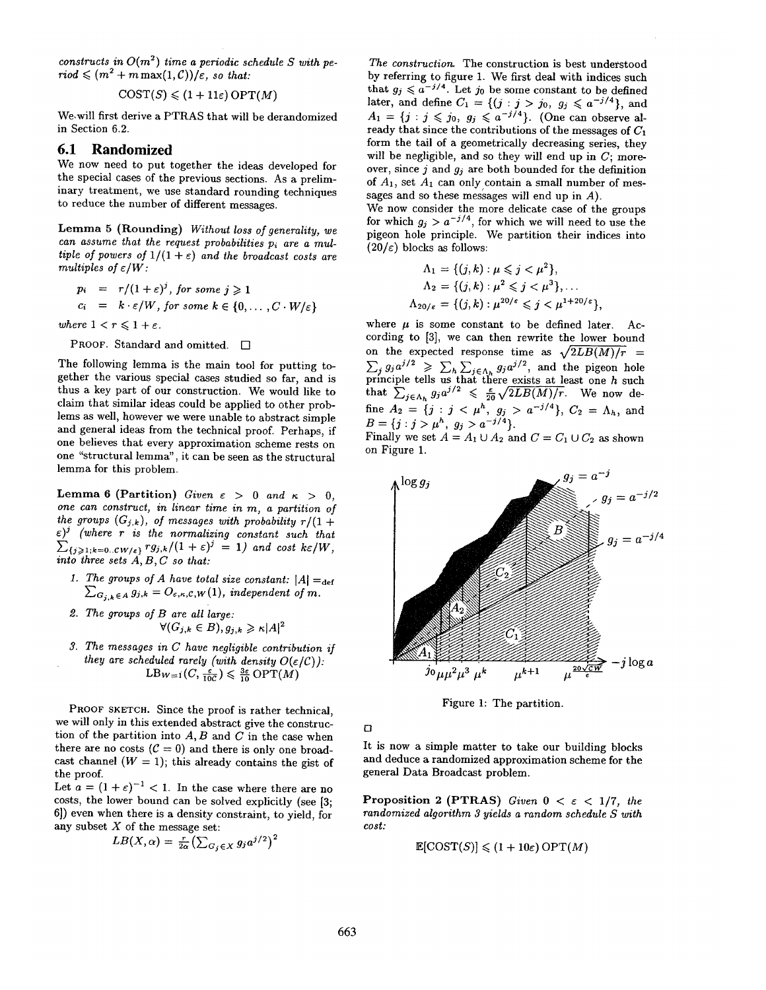*constructs in*  $O(m^2)$  *time a periodic schedule S with pe-* $\text{riod} \leqslant (m^2 + m \max(1, C))/\epsilon$ , *so that:* 

 $COST(S) \leq (1+11\varepsilon) OPT(M)$ 

We,will first derive a PTRAS that will be derandomized in Section 6.2.

#### **6.1 Randomized**

We now need to put together the ideas developed for the special cases of the previous sections. As a preliminaxy treatment, we use standard rounding techniques to reduce the number of different messages.

Lemma 5 (Rounding) *Without loss of generality, we can assume that the request probabilities pi are a multiple of powers of*  $1/(1 + \varepsilon)$  *and the broadcast costs are multiples of e/W :* 

$$
p_i = r/(1+\varepsilon)^j, \text{ for some } j \geq 1
$$
  

$$
c_i = k \cdot \varepsilon/W, \text{ for some } k \in \{0, \dots, C \cdot W/\varepsilon\}
$$

*where*  $1 < r \leq 1 + \varepsilon$ *.* 

PROOF. Standard and omitted.  $\square$ 

The following lemma is the main tool for putting together the various special cases studied so far, and is thus a key part of our construction. We would like to claim that similar ideas could be applied to other problems as well, however we were unable to abstract simple and general ideas from the technical proof. Perhaps, if one believes that every approximation scheme rests on one "structural lemma", it can be seen as the structural lemma for this problem.

Lemma 6 (Partition) Given  $\varepsilon > 0$  and  $\kappa > 0$ , *one can construct, in linear time in m, a partition of the groups*  $(G_{j,k})$ , of messages with probability  $r/(1 +$ *e) j (where r is the normalizing constant such that*   $\sum_{\{j\geqslant 1; k=0..CW/\epsilon\}} rg_{j,k}/(1+\epsilon)^j = 1)$  and cost  $k\varepsilon/W$ , *into three sets A, B, C so that:* 

- *1. The groups of A have total size constant:*  $|A| =_{def}$  $\sum_{G_{j,k} \in A} g_{j,k} = O_{\varepsilon,\kappa,\mathcal{C},W}(1)$ , *independent of m.*
- *2. The groups of B are all large:*   $\forall (G_{i,k} \in B), q_{i,k} \geq \kappa |A|^2$
- *3. The messages in C have negligible contribution if they are scheduled rarely (with density*  $O(\varepsilon/C)$ *):*  $LB_{W=1}(C, \frac{\varepsilon}{10C}) \leqslant \frac{3\varepsilon}{10} \text{OPT}(M)$

PROOF SKETCH. Since the proof is rather technical, we will only in this extended abstract give the construction of the partition into  $A, B$  and  $C$  in the case when there are no costs ( $C = 0$ ) and there is only one broadcast channel  $(W = 1)$ ; this already contains the gist of the proof.

Let  $a = (1 + \varepsilon)^{-1} < 1$ . In the case where there are no costs, the lower bound can be solved explicitly (see [3; 6]) even when there is a density constraint, to yield, for any subset  $X$  of the message set:

$$
LB(X, \alpha) = \frac{r}{2\alpha} \left( \sum_{G_j \in X} g_j a^{j/2} \right)^2
$$

*The construction.* The construction is best understood by referring to figure 1. We first deal with indices such that  $g_j \leq a^{-j/4}$ . Let  $j_0$  be some constant to be defined later, and define  $C_1 = \{(j : j > j_0, g_j \leq a^{-j/4}\},\$  $A_1 = \{j : j \leqslant j_0, g_j \leqslant a^{-j/4}\}.$  (One can observe already that since the contributions of the messages of  $C_1$ form the tail of a geometrically decreasing series, they will be negligible, and so they will end up in  $C$ ; moreover, since j and *gj are* both bounded for the definition of  $A_1$ , set  $A_1$  can only contain a small number of messages and so these messages will end up in A).

We now consider the more delicate case of the groups for which  $g_j > a^{-j/4}$ , for which we will need to use the pigeon hole principle. We partition their indices into  $(20/\varepsilon)$  blocks as follows:

$$
\Lambda_1 = \{ (j,k) : \mu \le j < \mu^2 \},
$$
\n
$$
\Lambda_2 = \{ (j,k) : \mu^2 \le j < \mu^3 \}, \dots
$$
\n
$$
\Lambda_{20/\varepsilon} = \{ (j,k) : \mu^{20/\varepsilon} \le j < \mu^{1+20/\varepsilon} \},
$$

where  $\mu$  is some constant to be defined later. According to [3], we can then rewrite the lower bound on the expected response time as  $\sqrt{2LB(M)/r}$  =  $\sum_{j} g_j a^{j/2} \geq \sum_{h} \sum_{j \in \Lambda_h} g_j a^{j/2}$ , and the pigeon hole principle tells us that there exists at least one  $h$  such that  $\sum_{j \in \Lambda_k} g_j a^{j/2} \leq \frac{\epsilon}{20} \sqrt{2LB(M)/r}$ . We now define  $A_2 = \{j : j < \mu^n, g_j > a^{-j/4}\}, C_2 = \Lambda_h$ , and  $B = \{j : j > u^h, g_j > a^{-j/4}\}.$ 

Finally we set  $A = A_1 \cup A_2$  and  $C = C_1 \cup C_2$  as shown on Figure 1.



Figure 1: The partition.

*[]* 

It is now a simple matter to take our building blocks and deduce a randomized approximation scheme for the general Data Broadcast problem.

Proposition 2 (PTRAS) *Given*  $0 < \varepsilon < 1/7$ , *the randomized algorithm 3 yields a random schedule S with cost:* 

$$
\mathbb{E}[\text{COST}(S)] \leq (1+10\varepsilon)\,\text{OPT}(M)
$$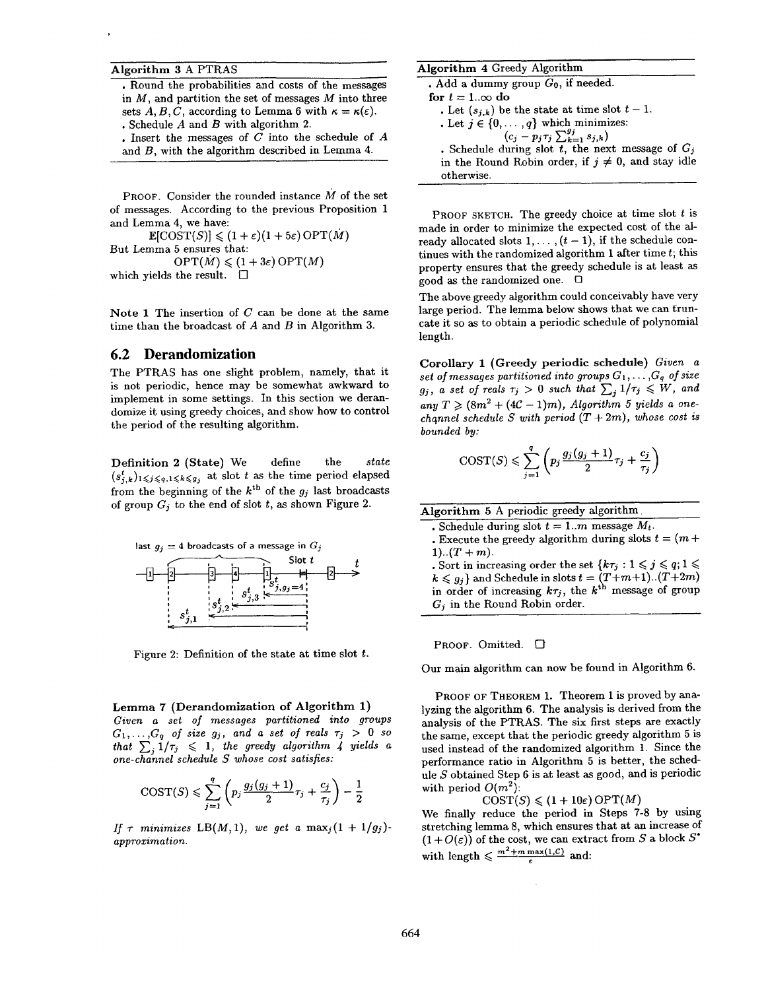#### Algorithm 3 A PTRAS

• Round the probabilities and costs of the messages in  $M$ , and partition the set of messages  $M$  into three sets A, B, C, according to Lemma 6 with  $\kappa = \kappa(\varepsilon)$ . • Schedule A and B with algorithm 2.

• Insert the messages of  $C$  into the schedule of  $A$ and B, with the algorithm described in Lemma 4.

PROOF. Consider the rounded instance M of the set of messages. According to the previous Proposition 1 and Lemma 4, we have:

 $\mathbb{E}[\text{COST}(S)] \leq (1+\varepsilon)(1+5\varepsilon) \text{OPT}(M)$ But Lemma 5 ensures that:  $\mathrm{OPT}(M) \leqslant (1+3\varepsilon) \mathrm{OPT}(M)$ which yields the result.  $\square$ 

Note 1 The insertion of  $C$  can be done at the same time than the broadcast of  $A$  and  $B$  in Algorithm 3.

## **6.2 Derandomization**

The PTR.AS has one slight problem, namely, that it is not periodic, hence may be somewhat awkward to implement in some settings. In this section we derandomize it using greedy choices, and show how to control the period of the resulting algorithm.

Definition 2 (State) We define the *state*   $(s_{j,k}^t)_{1\leqslant j\leqslant q,1\leqslant k\leqslant g_j}$  at slot t as the time period elapsed from the beginning of the  $k^{\text{th}}$  of the  $g_i$  last broadcasts of group  $G_i$  to the end of slot t, as shown Figure 2.



Figure 2: Definition of the state at time slot t.

Lemma 7 (Derandomization of Algorithm 1) *Given a set of messages partitioned into groups*   $G_1,\ldots,G_q$  of size  $g_j$ , and a set of reals  $\tau_j > 0$  so *that*  $\sum_{i=1}^{n} 1/\tau_i \leq 1$ , the greedy algorithm 4 yields a *one-channel schedule S whose cost satisfies:* 

$$
\mathrm{COST}(S) \leqslant \sum_{j=1}^q \left(p_j \frac{g_j(g_j+1)}{2} \tau_j + \frac{c_j}{\tau_j}\right) - \frac{1}{2}
$$

*If*  $\tau$  minimizes LB(M, 1), we get a  $\max_j(1 + 1/g_j)$ *approximation.* 

#### Algorithm 4 Greedy Algorithm

 $•$  Add a dummy group  $G_0$ , if needed. for  $t = 1..\infty$  do • Let  $(s_{j,k})$  be the state at time slot  $t-1$ . • Let  $j \in \{0, \ldots, q\}$  which minimizes:<br> $(c_j - p_j \tau_j \sum_{k=1}^{g_j} s_{j,k})$ • Schedule during slot t, the next message of  $G_j$ in the Round Robin order, if  $j \neq 0$ , and stay idle otherwise.

PROOF SKETCH. The greedy choice at time slot  $t$  is made in order to minimize the expected cost of the already allocated slots  $1, \ldots, (t-1)$ , if the schedule continues with the randomized algorithm 1 after time  $t$ ; this property ensures that the greedy schedule is at least as good as the randomized one.  $\Box$ 

The above greedy algorithm could conceivably have very large period. The lemma below shows that we can truncate it so as to obtain a periodic schedule of polynomial length.

Corollary 1 (Greedy periodic schedule) *Given a set of messages partitioned into groups*  $G_1, \ldots, G_q$  *of size*  $g_j$ , a set of reals  $\tau_j > 0$  such that  $\sum_j 1/\tau_j \leqslant W$ , and any  $T \geq (8m^2 + (4C - 1)m)$ , *Algorithm 5 yields a onechannel schedule S with period*  $(T + 2m)$ *, whose cost is bounded by:* 

$$
\mathrm{COST}(S) \leqslant \sum_{j=1}^{q} \left( p_j \frac{g_j(g_j+1)}{2} \tau_j + \frac{c_j}{\tau_j} \right)
$$

Algorithm 5 A periodic greedy algorithm.

- Schedule during slot  $t = 1..m$  message  $M_t$ .
- Execute the greedy algorithm during slots  $t = (m +$ 1).. $(T + m)$ .
- Sort in increasing order the set  $\{k\tau_j : 1 \leq j \leq q; 1 \leq j \leq q\}$  $k \leq g_j$  and Schedule in slots  $t = (T+m+1)...(T+2m)$ in order of increasing  $k\tau_j$ , the  $k^{\text{th}}$  message of group  $G_i$  in the Round Robin order.

PROOF. Omitted.  $\square$ 

Our main algorithm can now be found in Algorithm 6.

PROOF OF THEOREM 1. Theorem 1 is proved by analyzing the algorithm 6. The analysis is derived from the analysis of the PTRAS. The six first steps are exactly the same, except that the periodic greedy algorithm 5 is used instead of the randomized algorithm 1. Since the performance ratio in Algorithm 5 is better, the schedule  $S$  obtained Step 6 is at least as good, and is periodic with period  $O(m^2)$ :

$$
\text{COST}(S) \leq (1+10\varepsilon)\,\text{OPT}(M)
$$

We finally reduce the period in Steps 7-8 by using stretching lemma 8, which ensures that at an increase of  $(1+O(\varepsilon))$  of the cost, we can extract from S a block  $S^*$ with length  $\leq \frac{m^2+m \max(1,C)}{\varepsilon}$  and: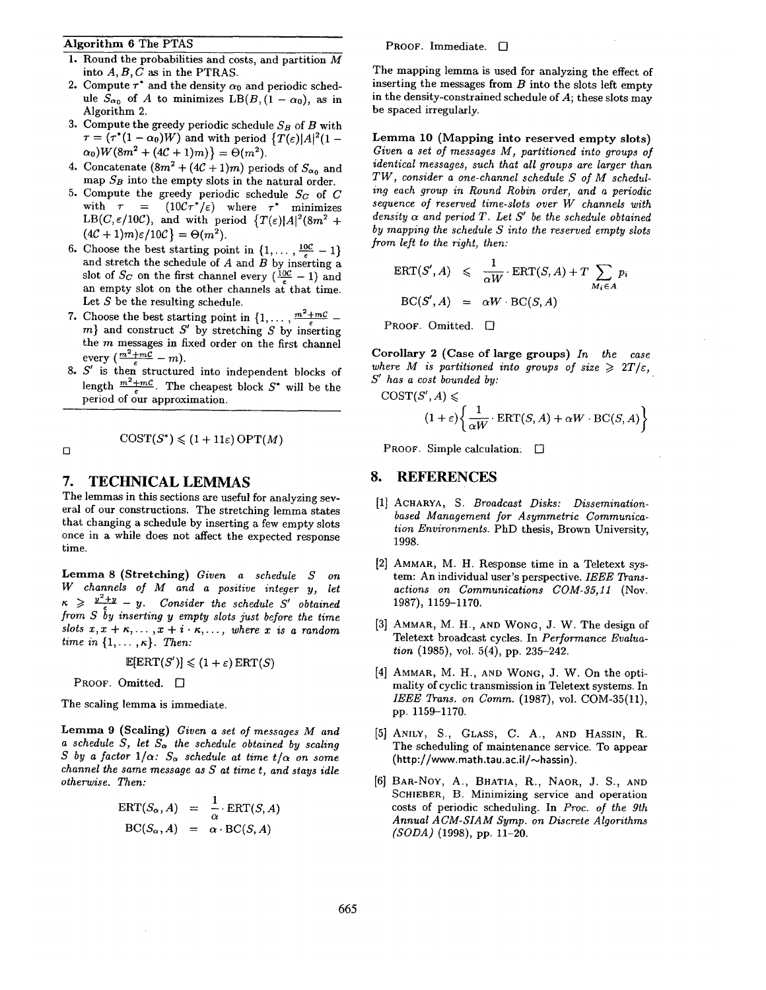#### Algorithm 6 The PTAS

- 1. Round the probabilities and costs, and partition  $\overline{M}$ into  $A, B, C$  as in the PTRAS.
- 2. Compute  $\tau^*$  and the density  $\alpha_0$  and periodic schedule  $S_{\alpha_0}$  of A to minimizes LB(B, (1 -  $\alpha_0$ ), as in Algorithm 2.
- 3. Compute the greedy periodic schedule  $S_B$  of  $B$  with  $\tau = (\tau^*(1 - \alpha_0)W)$  and with period  $\{T(\varepsilon)|A|^2(1 \alpha_0)W(8m^2 + (4C + 1)m) = \Theta(m^2).$
- 4. Concatenate  $(8m^2 + (4C + 1)m)$  periods of  $S_{\alpha_0}$  and map *SB* into the empty slots in the natural order.
- 5. Compute the greedy periodic schedule *Sc* of C with  $\tau = (10 C \tau^*/\varepsilon)$  where  $\tau^*$  minimizes *LB(C,* $\varepsilon/10C$ *),* and with period  $\{T(\varepsilon)|A|^2(8m^2 + 1)\}$  $(4\mathcal{C} + 1)m\varepsilon/10\mathcal{C}$  =  $\Theta(m^2)$ .
- 6. Choose the best starting point in  $\{1,\ldots,\frac{10C}{5}-1\}$ and stretch the schedule of  $A$  and  $B$  by inserting a slot of  $S_C$  on the first channel every  $(\frac{10C}{c} - 1)$  and an empty slot on the other channels at that time. Let  $S$  be the resulting schedule.
- 7. Choose the best starting point in  $\{1,\ldots,\frac{m^2+mC}{m}\}$  $m$ } and construct  $S'$  by stretching  $S$  by inserting the m messages in fixed order on the first channel every  $\left(\frac{m^2 + m\mathcal{C}}{\varepsilon} - m\right)$ .
- 8.  $S'$  is then structured into independent blocks of length  $\frac{m^2+mc}{m}$ . The cheapest block  $S^*$  will be the period of our approximation.

 $\text{COST}(S^*) \leq (1 + 11\varepsilon) \text{ OPT}(M)$ 

 $\Box$ 

## **7. TECHNICAL LEMMAS**

The lemmas in this sections are useful for analyzing several of our constructions. The stretching lemma states that changing a schedule by inserting a few empty slots once in a while does not affect the expected response time.

Lemma 8 (Stretching) *Given a schedule S on W channels of M and a positive integer y, let*   $\kappa \geqslant \frac{y^2+y}{s} - y$ . Consider the schedule S' obtained *from S by inserting y empty slots just before the time slots*  $x, x + \kappa, \ldots, x + i \cdot \kappa, \ldots$ , where x is a random *time in*  $\{1,\ldots,\kappa\}$ . *Then:* 

 $\mathbb{E}[\text{ERT}(S')] \leqslant (1+\varepsilon) \text{ERT}(S)$ 

PROOF. Omitted.  $\square$ 

The scaling lemma is immediate.

Lemma 9 (Scaling) *Given a set of messages M and a schedule S, let*  $S_{\alpha}$  the schedule obtained by scaling *S* by a factor  $1/\alpha$ :  $S_{\alpha}$  schedule at time  $t/\alpha$  on some *channel the same message as S at time t, and stays idle otherwise. Then:* 

$$
ERT(S_{\alpha}, A) = \frac{1}{\alpha} \cdot ERT(S, A)
$$
  
BC(S\_{\alpha}, A) = \alpha \cdot BC(S, A)

#### PROOF. Immediate.  $\square$

The mapping lemma is used for analyzing the effect of inserting the messages from  $B$  into the slots left empty in the density-constrained schedule of A; these slots may be spaced irregularly.

Lemma 10 (Mapping into reserved empty slots) *Given a set of messages M, partitioned into groups of identical messages, such that all groups are larger than TW, consider a one-channel schedule S of M scheduling each group in Round Robin order, and a periodic sequence of reserved time-slots over W channels with density*  $\alpha$  *and period*  $T$ *. Let*  $S'$  *be the schedule obtained by mapping the schedule S into the reserved empty slots from left to the right, then:* 

$$
ERT(S', A) \leq \frac{1}{\alpha W} \cdot ERT(S, A) + T \sum_{M_i \in A} p_i
$$
  
 
$$
BC(S', A) = \alpha W \cdot BC(S, A)
$$

PROOF. Omitted.  $\square$ 

Corollary 2 (Case of large groups) *In the case*  where *M* is partitioned into groups of size  $\geq 2T/\varepsilon$ , *S'* has a cost bounded by:

$$
COST(S', A) \leq
$$
  

$$
(1 + \varepsilon) \left\{ \frac{1}{\alpha W} \cdot \text{ERT}(S, A) + \alpha W \cdot BC(S, A) \right\}
$$

PROOF. Simple calculation.  $\Box$ 

## **8. REFERENCES**

- [1] ACHARYA, S. *Broadcast Disks: Disseminationbased Management for Asymmetric Communication Environments.* PhD thesis, Brown University, 1998.
- [2] AMMAR, M. H. Response time in a Teletext system: An individual user's perspective. *IEEE Transactions on Communications COM-35,11* (Nov. 1987), 1159-1170.
- [3] AMMAR, M. H., AND WONG, J. W. The design of Teletext broadcast cycles. In *Performance Evaluation* (1985), vol. 5(4), pp. 235-242.
- [4] AMMAR, M. H., AND WONG, J. W. On the optimality of cyclic transmission in Teletext systems. In *IEEE Trans. on Comm.* (1987), vol. COM-35(11), pp. 1159-1170.
- [5] ANILY, S., GLASS, C. A., AND HASSIN, R. The scheduling of maintenance service. To appear  $(http://www.math.tau.ac.id/\sim hassin).$
- [6] BAR-NoY, A., BHATIA, R., NAOR, J. S., AND SCHIEBER, B. Minimizing service and operation costs of periodic scheduling. In *Proc. of the 9th Annual ACM-SIAM Syrup. on Discrete Algorithms (SODA)* (1998), pp. 11-20.